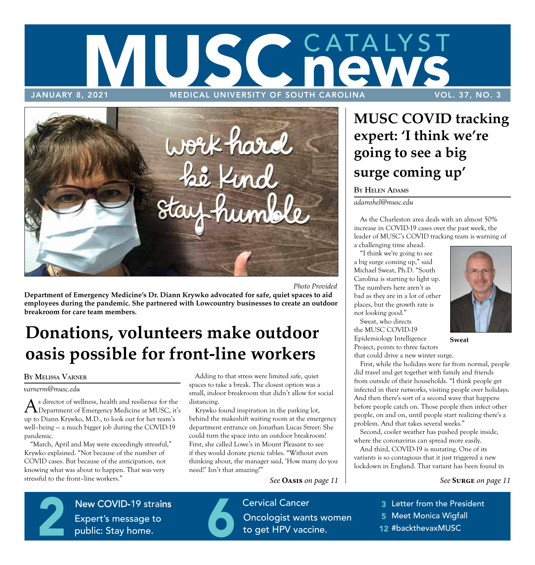# CATALYST SCI JANUARY 8, 2021 MEDICAL UNIVERSITY OF SOUTH CAROLINA VOL. 37, NO. 3



*Photo Provided* 

**Department of Emergency Medicine's Dr. Diann Krywko advocated for safe, quiet spaces to aid employees during the pandemic. She partnered with Lowcountry businesses to create an outdoor breakroom for care team members.** 

# **Donations, volunteers make outdoor oasis possible for front-line workers**

#### **BY MELISSA VARNER**

*varnerm@musc.edu* 

As director of wellness, health and resilience for the Department of Emergency Medicine at MUSC, it's up to Diann Krywko, M.D., to look out for her team's well–being — a much bigger job during the COVID-19 pandemic.

"March, April and May were exceedingly stressful," Krywko explained. "Not because of the number of COVID cases. But because of the anticipation, not knowing what was about to happen. That was very stressful to the front–line workers."

**Patient Gift** 

Adding to that stress were limited safe, quiet spaces to take a break. The closest option was a small, indoor breakroom that didn't allow for social distancing.

Krywko found inspiration in the parking lot, behind the makeshift waiting room at the emergency department entrance on Jonathan Lucas Street: She could turn the space into an outdoor breakroom! First, she called Lowe's in Mount Pleasant to see if they would donate picnic tables. "Without even thinking about, the manager said, 'How many do you need?' Isn't that amazing?"

*See* **Oasis** *on page 11* 

**Cervical Cancer** Figure – in the control Oncologist w Cervical Cancer<br>
6 Oncologist wants women<br>
to get HPV vaccine. to get HPV vaccine.

## **MUSC COVID tracking expert: 'I think we're going to see a big surge coming up'**

#### **BY HELEN ADAMS**

*adamshel@musc.edu* 

As the Charleston area deals with an almost 50% increase in COVID-19 cases over the past week, the leader of MUSC's COVID tracking team is warning of

a challenging time ahead.

"I think we're going to see a big surge coming up," said Michael Sweat, Ph.D. "South Carolina is starting to light up. The numbers here aren't as bad as they are in a lot of other places, but the growth rate is not looking good."

Sweat, who directs the MUSC COVID-19 Epidemiology Intelligence **Sweat**  Project, points to three factors



that could drive a new winter surge. First, while the holidays were far from normal, people did travel and get together with family and friends from outside of their households. "I think people get infected in their networks, visiting people over holidays. And then there's sort of a second wave that happens before people catch on. Those people then infect other people, on and on, until people start realizing there's a problem. And that takes several weeks."

Second, cooler weather has pushed people inside, where the coronavirus can spread more easily.

And third, COVID-19 is mutating. One of its variants is so contagious that it just triggered a new lockdown in England. That variant has been found in

#### *See* **Surge** *on page 11*

- 3 Letter from the President
- 5 Meet Monica Wigfall
- **8**  12 #backthevaxMUSC

 $N$ **Expert's me** New COVID-19 strains<br>Expert's message to<br>public: Stay home. Expert's message to public: Stay home.

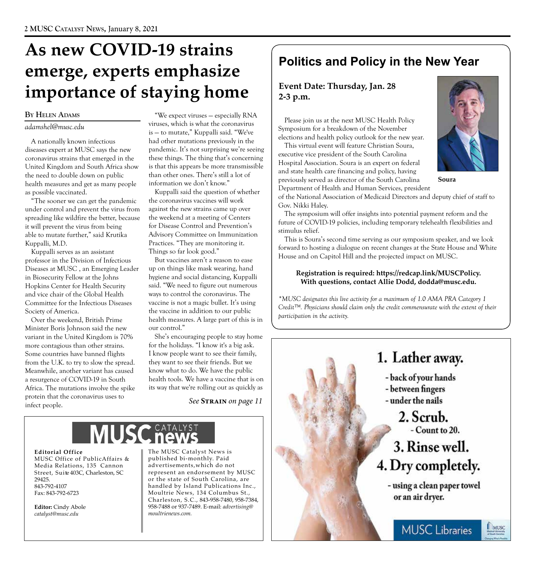# **As new COVID-19 strains emerge, experts emphasize importance of staying home**

### **BY HELEN ADAMS**

#### *adamshel@musc.edu*

A nationally known infectious diseases expert at MUSC says the new coronavirus strains that emerged in the United Kingdom and South Africa show the need to double down on public health measures and get as many people as possible vaccinated.

"The sooner we can get the pandemic under control and prevent the virus from spreading like wildfire the better, because it will prevent the virus from being able to mutate further," said Krutika Kuppalli, M.D.

Kuppalli serves as an assistant professor in the Division of Infectious Diseases at MUSC , an Emerging Leader in Biosecurity Fellow at the Johns Hopkins Center for Health Security and vice chair of the Global Health Committee for the Infectious Diseases Society of America.

Over the weekend, British Prime Minister Boris Johnson said the new variant in the United Kingdom is 70% more contagious than other strains. Some countries have banned flights from the U.K. to try to slow the spread. Meanwhile, another variant has caused a resurgence of COVID-19 in South Africa. The mutations involve the spike protein that the coronavirus uses to infect people.

"We expect viruses — especially RNA viruses, which is what the coronavirus is — to mutate," Kuppalli said. "We've had other mutations previously in the pandemic. It's not surprising we're seeing these things. The thing that's concerning is that this appears be more transmissible than other ones. There's still a lot of information we don't know."

Kuppalli said the question of whether the coronavirus vaccines will work against the new strains came up over the weekend at a meeting of Centers for Disease Control and Prevention's Advisory Committee on Immunization Practices. "They are monitoring it. Things so far look good."

But vaccines aren't a reason to ease up on things like mask wearing, hand hygiene and social distancing, Kuppalli said. "We need to figure out numerous ways to control the coronavirus. The vaccine is not a magic bullet. It's using the vaccine in addition to our public health measures. A large part of this is in our control."

She's encouraging people to stay home for the holidays. "I know it's a big ask. I know people want to see their family, they want to see their friends. But we know what to do. We have the public health tools. We have a vaccine that is on its way that we're rolling out as quickly as

*See* **Strain** *on page 11* 

**Editorial Office** The MUSC Catalyst News is<br>MUSC Office of PublicAffairs & published bi-monthly. Paid MUSC Office of PublicAffairs & published bi-monthly. Paid<br>Media Relations, 135 Cannon advertisements, which do not Media Relations, 135 Cannon<br>Street, Suite 403C, Charleston, SC

 $catalyst@musc.edu$ 

represent an endorsement by MUSC 29425.<br>
29425. or the state of South Carolina, are<br>
2942-4107 handled by Island Publications Inc 843-792-4107 handled by Island Publications Inc.,<br>Fax: 843-792-6723 Moultrie News, 134 Columbus St., Moultrie News, 134 Columbus St., Charles ton, S.C., 843-958-7480, 958-7384, **Editor:** Cindy Abole 958-7488 or 937-7489. E-mail: *advertising@* catalust@musc.edu

## **Politics and Policy in the New Year**

### **Event Date: Thursday, Jan. 28 2-3 p.m.**

Please join us at the next MUSC Health Policy Symposium for a breakdown of the November elections and health policy outlook for the new year.

This virtual event will feature Christian Soura, executive vice president of the South Carolina Hospital Association. Soura is an expert on federal and state health care financing and policy, having previously served as director of the South Carolina Department of Health and Human Services, president



MUSC

**Soura** 

of the National Association of Medicaid Directors and deputy chief of staff to Gov. Nikki Haley.

The symposium will offer insights into potential payment reform and the future of COVID-19 policies, including temporary telehealth flexibilities and stimulus relief.

This is Soura's second time serving as our symposium speaker, and we look forward to hosting a dialogue on recent changes at the State House and White House and on Capitol Hill and the projected impact on MUSC.

#### **Registration is required: https://redcap.link/MUSCPolicy. With questions, contact Allie Dodd, dodda@musc.edu.**

*\*MUSC designates this live activity for a maximum of 1.0 AMA PRA Category 1 Credit™. Physicians should claim only the credit commensurate with the extent of their participation in the activity.* 

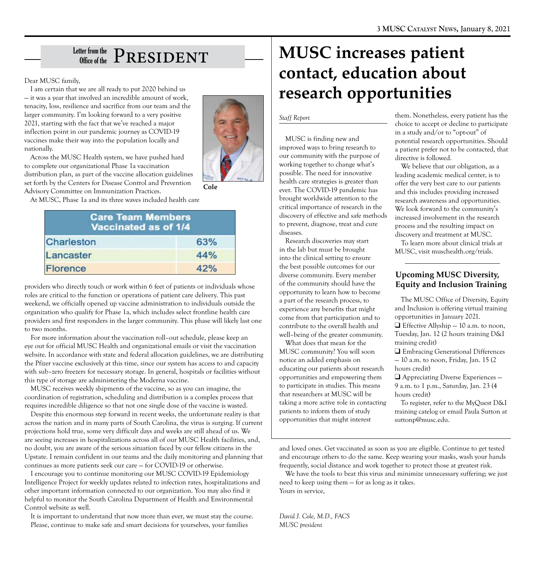# $_{\tiny{\textrm{Office of the}}}^{\textrm{\tiny{\textrm{Letter from the}}}}\ \mathrm{PRESIDENT}$

Dear MUSC family,

I am certain that we are all ready to put 2020 behind us — it was a year that involved an incredible amount of work, tenacity, loss, resilience and sacrifice from our team and the larger community. I'm looking forward to a very positive 2021, starting with the fact that we've reached a major inflection point in our pandemic journey as COVID-19 vaccines make their way into the population locally and nationally.



Across the MUSC Health system, we have pushed hard to complete our organizational Phase 1a vaccination distribution plan, as part of the vaccine allocation guidelines set forth by the Centers for Disease Control and Prevention Advisory Committee on Immunization Practices.

At MUSC, Phase 1a and its three waves included health care

| <b>Care Team Members</b><br>Vaccinated as of 1/4 |     |
|--------------------------------------------------|-----|
| Charleston                                       | 63% |
| Lancaster                                        | 44% |
| <b>Florence</b>                                  | 42% |

providers who directly touch or work within 6 feet of patients or individuals whose roles are critical to the function or operations of patient care delivery. This past weekend, we officially opened up vaccine administration to individuals outside the organization who qualify for Phase 1a, which includes select frontline health care providers and first responders in the larger community. This phase will likely last one to two months.

For more information about the vaccination roll–out schedule, please keep an eye out for official MUSC Health and organizational emails or visit the vaccination website. In accordance with state and federal allocation guidelines, we are distributing the Pfizer vaccine exclusively at this time, since our system has access to and capacity with sub–zero freezers for necessary storage. In general, hospitals or facilities without this type of storage are administering the Moderna vaccine.

MUSC receives weekly shipments of the vaccine, so as you can imagine, the coordination of registration, scheduling and distribution is a complex process that requires incredible diligence so that not one single dose of the vaccine is wasted.

Despite this enormous step forward in recent weeks, the unfortunate reality is that across the nation and in many parts of South Carolina, the virus is surging. If current projections hold true, some very difficult days and weeks are still ahead of us. We are seeing increases in hospitalizations across all of our MUSC Health facilities, and, no doubt, you are aware of the serious situation faced by our fellow citizens in the Upstate. I remain confident in our teams and the daily monitoring and planning that continues as more patients seek our care — for COVID-19 or otherwise.

I encourage you to continue monitoring our MUSC COVID-19 Epidemiology Intelligence Project for weekly updates related to infection rates, hospitalizations and other important information connected to our organization. You may also find it helpful to monitor the South Carolina Department of Health and Environmental Control website as well.

It is important to understand that now more than ever, we must stay the course. Please, continue to make safe and smart decisions for yourselves, your families

# **MUSC increases patient contact, education about research opportunities**

#### *Staff Report*

MUSC is finding new and improved ways to bring research to our community with the purpose of working together to change what's possible. The need for innovative health care strategies is greater than ever. The COVID-19 pandemic has brought worldwide attention to the critical importance of research in the discovery of effective and safe methods to prevent, diagnose, treat and cure diseases.

Research discoveries may start in the lab but must be brought into the clinical setting to ensure the best possible outcomes for our diverse community. Every member of the community should have the opportunity to learn how to become a part of the research process, to experience any benefits that might come from that participation and to contribute to the overall health and well–being of the greater community.

What does that mean for the MUSC community? You will soon notice an added emphasis on educating our patients about research opportunities and empowering them to participate in studies. This means that researchers at MUSC will be taking a more active role in contacting patients to inform them of study opportunities that might interest

them. Nonetheless, every patient has the choice to accept or decline to participate in a study and/or to "opt-out" of potential research opportunities. Should a patient prefer not to be contacted, that directive is followed.

We believe that our obligation, as a leading academic medical center, is to offer the very best care to our patients and this includes providing increased research awareness and opportunities. We look forward to the community's increased involvement in the research process and the resulting impact on discovery and treatment at MUSC.

To learn more about clinical trials at MUSC, visit muschealth.org/trials.

### **Upcoming MUSC Diversity, Equity and Inclusion Training**

The MUSC Office of Diversity, Equity and Inclusion is offering virtual training opportunities in January 2021.  $\Box$  Effective Allyship  $-10$  a.m. to noon, Tuesday, Jan. 12 (2 hours training D&I training credit) **Q** Embracing Generational Differences — 10 a.m. to noon, Friday, Jan. 15 (2 hours credit)  $\Box$  Appreciating Diverse Experiences –

9 a.m. to 1 p.m., Saturday, Jan. 23 (4 hours credit)

To register, refer to the MyQuest D&I training catelog or email Paula Sutton at suttonp@musc.edu.

and loved ones. Get vaccinated as soon as you are eligible. Continue to get tested and encourage others to do the same. Keep wearing your masks, wash your hands frequently, social distance and work together to protect those at greatest risk.

We have the tools to beat this virus and minimize unnecessary suffering; we just need to keep using them — for as long as it takes. Yours in service,

*David J. Cole, M.D., FACS MUSC president*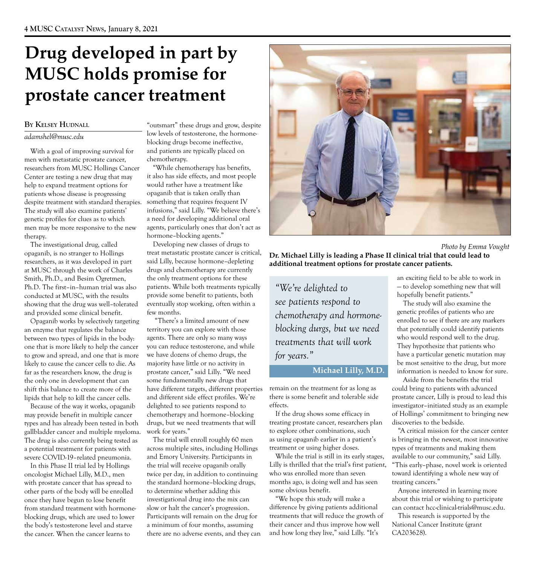# **Drug developed in part by MUSC holds promise for prostate cancer treatment**

#### **BY KELSEY HUDNALL**

#### *adamshel@musc.edu*

With a goal of improving survival for men with metastatic prostate cancer, researchers from MUSC Hollings Cancer Center are testing a new drug that may help to expand treatment options for patients whose disease is progressing despite treatment with standard therapies. The study will also examine patients' genetic profiles for clues as to which men may be more responsive to the new therapy.

The investigational drug, called opaganib, is no stranger to Hollings researchers, as it was developed in part at MUSC through the work of Charles Smith, Ph.D., and Besim Ogretmen, Ph.D. The first–in–human trial was also conducted at MUSC, with the results showing that the drug was well–tolerated and provided some clinical benefit.

Opaganib works by selectively targeting an enzyme that regulates the balance between two types of lipids in the body: one that is more likely to help the cancer to grow and spread, and one that is more likely to cause the cancer cells to die. As far as the researchers know, the drug is the only one in development that can shift this balance to create more of the lipids that help to kill the cancer cells.

Because of the way it works, opaganib may provide benefit in multiple cancer types and has already been tested in both gallbladder cancer and multiple myeloma. The drug is also currently being tested as a potential treatment for patients with severe COVID-19–related pneumonia.

In this Phase II trial led by Hollings oncologist Michael Lilly, M.D., men with prostate cancer that has spread to other parts of the body will be enrolled once they have begun to lose benefit from standard treatment with hormoneblocking drugs, which are used to lower the body's testosterone level and starve the cancer. When the cancer learns to

"outsmart" these drugs and grow, despite low levels of testosterone, the hormoneblocking drugs become ineffective, and patients are typically placed on chemotherapy.

"While chemotherapy has benefits, it also has side effects, and most people would rather have a treatment like opaganib that is taken orally than something that requires frequent IV infusions," said Lilly. "We believe there's a need for developing additional oral agents, particularly ones that don't act as hormone–blocking agents."

Developing new classes of drugs to treat metastatic prostate cancer is critical, said Lilly, because hormone–depleting drugs and chemotherapy are currently the only treatment options for these patients. While both treatments typically provide some benefit to patients, both eventually stop working, often within a few months.

 "There's a limited amount of new territory you can explore with those agents. There are only so many ways you can reduce testosterone, and while we have dozens of chemo drugs, the majority have little or no activity in prostate cancer," said Lilly. "We need some fundamentally new drugs that have different targets, different properties and different side effect profiles. We're delighted to see patients respond to chemotherapy and hormone–blocking drugs, but we need treatments that will work for years."

The trial will enroll roughly 60 men across multiple sites, including Hollings and Emory University. Participants in the trial will receive opaganib orally twice per day, in addition to continuing the standard hormone–blocking drugs, to determine whether adding this investigational drug into the mix can slow or halt the cancer's progression. Participants will remain on the drug for a minimum of four months, assuming there are no adverse events, and they can



 *Photo by Emma Vought*

**Dr. Michael Lilly is leading a Phase II clinical trial that could lead to additional treatment options for prostate cancer patients.** 

*"We're delighted to see patients respond to chemotherapy and hormoneblocking durgs, but we need treatments that will work for years."* 

#### **Michael Lilly, M.D.**

remain on the treatment for as long as there is some benefit and tolerable side effects.

If the drug shows some efficacy in treating prostate cancer, researchers plan to explore other combinations, such as using opaganib earlier in a patient's treatment or using higher doses.

While the trial is still in its early stages, Lilly is thrilled that the trial's first patient, who was enrolled more than seven months ago, is doing well and has seen some obvious benefit.

"We hope this study will make a difference by giving patients additional treatments that will reduce the growth of their cancer and thus improve how well and how long they live," said Lilly. "It's

an exciting field to be able to work in — to develop something new that will hopefully benefit patients."

The study will also examine the genetic profiles of patients who are enrolled to see if there are any markers that potentially could identify patients who would respond well to the drug. They hypothesize that patients who have a particular genetic mutation may be most sensitive to the drug, but more information is needed to know for sure.

Aside from the benefits the trial could bring to patients with advanced prostate cancer, Lilly is proud to lead this investigator–initiated study as an example of Hollings' commitment to bringing new discoveries to the bedside.

"A critical mission for the cancer center is bringing in the newest, most innovative types of treatments and making them available to our community," said Lilly. "This early–phase, novel work is oriented toward identifying a whole new way of treating cancers."

Anyone interested in learning more about this trial or wishing to participate can contact hcc-clinical-trials@musc.edu.

This research is supported by the National Cancer Institute (grant CA203628).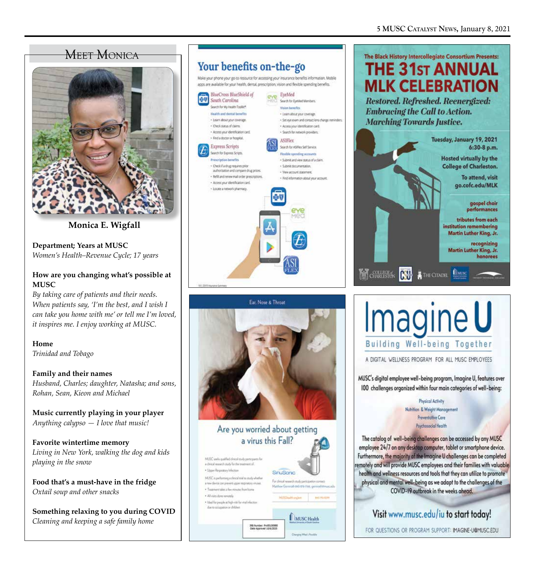### **MEET MONICA**



**Monica E. Wigfall** 

**Department; Years at MUSC** *Women's Health–Revenue Cycle; 17 years* 

### **How are you changing what's possible at MUSC**

*By taking care of patients and their needs. When patients say, 'I'm the best, and I wish I can take you home with me' or tell me I'm loved, it inspires me. I enjoy working at MUSC.* 

**Home**  *Trinidad and Tobago* 

**Family and their names**  *Husband, Charles; daughter, Natasha; and sons, Rohan, Sean, Kieon and Michael* 

**Music currently playing in your player** *Anything calypso — I love that music!* 

**Favorite wintertime memory** *Living in New York, walking the dog and kids playing in the snow* 

**Food that's a must-have in the fridge** *Oxtail soup and other snacks* 

**Something relaxing to you during COVID**  *Cleaning and keeping a safe family home* 

### Your benefits on-the-go

Make your phone your go to resource for accessing your insurance benefits information. Mobile apps are available for your health, dental, prescription, vision and flexible spending benefits.





Are you worried about getting a virus this Fall?







MUSC's digital employee well-being program, Imagine U, features over 100 challenges organized within four main categories of well-being:

> **Physicol Activity** Nutrition & Weight Management **Preventative Care** Psychosocial Health

The catalog of well-being challenges can be accessed by any MUSC employee 24/7 on any desktop computer, tablet or smartphone device. Furthermore, the majority of the Imagine U challenges can be completed remotely and will provide MUSC employees and their families with valuable health and wellness resources and tools that they can utilize to promote physical and mental well-being as we adapt to the challenges of the COVID-19 outbreak in the weeks ahead.

### Visit www.musc.edu/iu to start today!

FOR QUESTIONS OR PROGRAM SUPPORT: IMAGINE-U@MUSC.EDU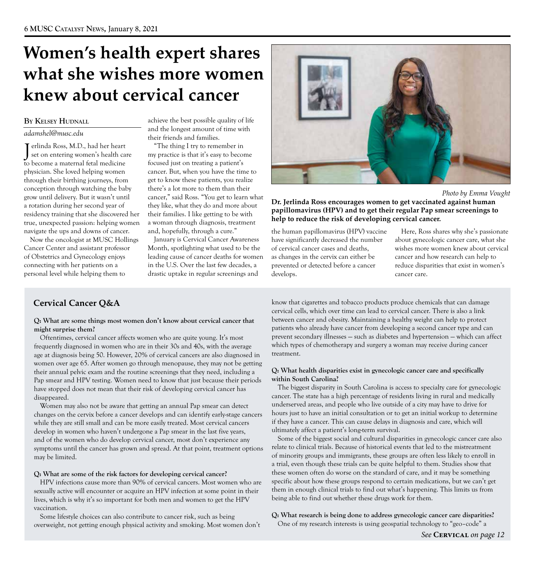# **Women's health expert shares what she wishes more women knew about cervical cancer**

Jerlinda Ross, M.D., had her heart "The thing I try to remember in set on entering women's health care my practice is that it's easy to become T erlinda Ross, M.D., had her heart "The thing I try to remember in to become a maternal fetal medicine focused just on treating a patient's physician. She loved helping women cancer. But, when you have the time to through their birthing journeys, from get to know these patients, you realize conception through watching the baby there's a lot more to them than their a rotation during her second year of they like, what they do and more about residency training that she discovered her their families. I like getting to be with true, unexpected passion: helping women a woman through diagnosis, treatment navigate the ups and downs of cancer. and, hopefully, through a cure."

Now the oncologist at MUSC Hollings January is Cervical Cancer Awareness connecting with her patients on a in the U.S. Over the last few decades, a personal level while helping them to drastic uptake in regular screenings and

**BY KELSEY HUDNALL** achieve the best possible quality of life and the longest amount of time with *adamshel@musc.edu*  their friends and families.

grow until delivery. But it wasn't until cancer," said Ross. "You get to learn what

Cancer Center and assistant professor Month, spotlighting what used to be the of Obstetrics and Gynecology enjoys leading cause of cancer deaths for women



 *Photo by Emma Vought*

**Dr. Jerlinda Ross encourages women to get vaccinated against human papillomavirus (HPV) and to get their regular Pap smear screenings to help to reduce the risk of developing cervical cancer.** 

have significantly decreased the number about gynecologic cancer care, what she as changes in the cervix can either be cancer and how research can help to prevented or detected before a cancer reduce disparities that exist in women's develops. Cancer care.

the human papillomavirus (HPV) vaccine Here, Ross shares why she's passionate of cervical cancer cases and deaths, wishes more women knew about cervical

### **Cervical Cancer Q&A**

#### **Q: What are some things most women don't know about cervical cancer that might surprise them?**

Oftentimes, cervical cancer affects women who are quite young. It's most frequently diagnosed in women who are in their 30s and 40s, with the average age at diagnosis being 50. However, 20% of cervical cancers are also diagnosed in women over age 65. After women go through menopause, they may not be getting their annual pelvic exam and the routine screenings that they need, including a Pap smear and HPV testing. Women need to know that just because their periods have stopped does not mean that their risk of developing cervical cancer has disappeared.

Women may also not be aware that getting an annual Pap smear can detect changes on the cervix before a cancer develops and can identify early-stage cancers while they are still small and can be more easily treated. Most cervical cancers develop in women who haven't undergone a Pap smear in the last five years, and of the women who do develop cervical cancer, most don't experience any symptoms until the cancer has grown and spread. At that point, treatment options may be limited.

#### **Q: What are some of the risk factors for developing cervical cancer?**

HPV infections cause more than 90% of cervical cancers. Most women who are sexually active will encounter or acquire an HPV infection at some point in their lives, which is why it's so important for both men and women to get the HPV vaccination.

Some lifestyle choices can also contribute to cancer risk, such as being overweight, not getting enough physical activity and smoking. Most women don't know that cigarettes and tobacco products produce chemicals that can damage cervical cells, which over time can lead to cervical cancer. There is also a link between cancer and obesity. Maintaining a healthy weight can help to protect patients who already have cancer from developing a second cancer type and can prevent secondary illnesses — such as diabetes and hypertension — which can affect which types of chemotherapy and surgery a woman may receive during cancer treatment.

#### **Q: What health disparities exist in gynecologic cancer care and specifically within South Carolina?**

The biggest disparity in South Carolina is access to specialty care for gynecologic cancer. The state has a high percentage of residents living in rural and medically underserved areas, and people who live outside of a city may have to drive for hours just to have an initial consultation or to get an initial workup to determine if they have a cancer. This can cause delays in diagnosis and care, which will ultimately affect a patient's long-term survival.

Some of the biggest social and cultural disparities in gynecologic cancer care also relate to clinical trials. Because of historical events that led to the mistreatment of minority groups and immigrants, these groups are often less likely to enroll in a trial, even though these trials can be quite helpful to them. Studies show that these women often do worse on the standard of care, and it may be something specific about how these groups respond to certain medications, but we can't get them in enough clinical trials to find out what's happening. This limits us from being able to find out whether these drugs work for them.

**Q: What research is being done to address gynecologic cancer care disparities?**  One of my research interests is using geospatial technology to "geo–code" a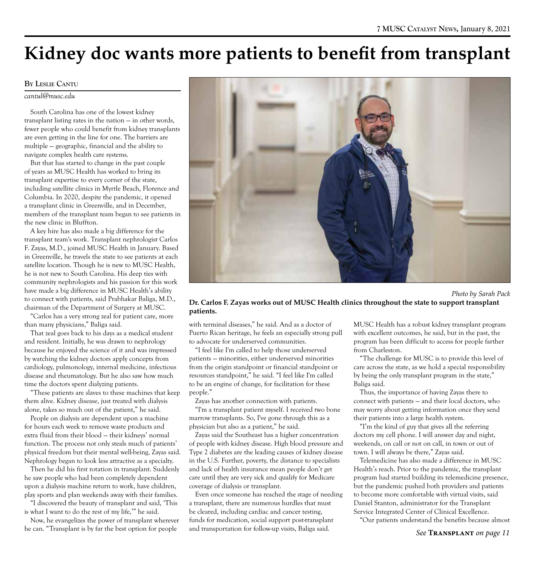# **Kidney doc wants more patients to benefit from transplant**

### **BY LESLIE CANTU**

#### *cantul@musc.edu*

South Carolina has one of the lowest kidney transplant listing rates in the nation — in other words, fewer people who could benefit from kidney transplants are even getting in the line for one. The barriers are multiple — geographic, financial and the ability to navigate complex health care systems.

But that has started to change in the past couple of years as MUSC Health has worked to bring its transplant expertise to every corner of the state, including satellite clinics in Myrtle Beach, Florence and Columbia. In 2020, despite the pandemic, it opened a transplant clinic in Greenville, and in December, members of the transplant team began to see patients in the new clinic in Bluffton.

A key hire has also made a big difference for the transplant team's work. Transplant nephrologist Carlos F. Zayas, M.D., joined MUSC Health in January. Based in Greenville, he travels the state to see patients at each satellite location. Though he is new to MUSC Health, he is not new to South Carolina. His deep ties with community nephrologists and his passion for this work have made a big difference in MUSC Health's ability to connect with patients, said Prabhakar Baliga, M.D., chairman of the Department of Surgery at MUSC.

"Carlos has a very strong zeal for patient care, more than many physicians," Baliga said.

That zeal goes back to his days as a medical student and resident. Initially, he was drawn to nephrology because he enjoyed the science of it and was impressed by watching the kidney doctors apply concepts from cardiology, pulmonology, internal medicine, infectious disease and rheumatology. But he also saw how much time the doctors spent dialyzing patients.

"These patients are slaves to these machines that keep them alive. Kidney disease, just treated with dialysis alone, takes so much out of the patient," he said.

People on dialysis are dependent upon a machine for hours each week to remove waste products and extra fluid from their blood — their kidneys' normal function. The process not only steals much of patients' physical freedom but their mental well-being, Zayas said. Nephrology began to look less attractive as a specialty.

Then he did his first rotation in transplant. Suddenly he saw people who had been completely dependent upon a dialysis machine return to work, have children, play sports and plan weekends away with their families.

"I discovered the beauty of transplant and said, 'This is what I want to do the rest of my life,'" he said.

Now, he evangelizes the power of transplant wherever he can. "Transplant is by far the best option for people



 *Photo by Sarah Pack*

### **Dr. Carlos F. Zayas works out of MUSC Health clinics throughout the state to support transplant patients.**

with terminal diseases," he said. And as a doctor of Puerto Rican heritage, he feels an especially strong pull to advocate for underserved communities.

"I feel like I'm called to help those underserved patients — minorities, either underserved minorities from the origin standpoint or financial standpoint or resources standpoint," he said. "I feel like I'm called to be an engine of change, for facilitation for these people."

Zayas has another connection with patients.

"I'm a transplant patient myself. I received two bone marrow transplants. So, I've gone through this as a physician but also as a patient," he said.

Zayas said the Southeast has a higher concentration of people with kidney disease. High blood pressure and Type 2 diabetes are the leading causes of kidney disease in the U.S. Further, poverty, the distance to specialists and lack of health insurance mean people don't get care until they are very sick and qualify for Medicare coverage of dialysis or transplant.

Even once someone has reached the stage of needing a transplant, there are numerous hurdles that must be cleared, including cardiac and cancer testing, funds for medication, social support post-transplant and transportation for follow-up visits, Baliga said.

MUSC Health has a robust kidney transplant program with excellent outcomes, he said, but in the past, the program has been difficult to access for people farther from Charleston.

"The challenge for MUSC is to provide this level of care across the state, as we hold a special responsibility by being the only transplant program in the state," Baliga said.

Thus, the importance of having Zayas there to connect with patients — and their local doctors, who may worry about getting information once they send their patients into a large health system.

"I'm the kind of guy that gives all the referring doctors my cell phone. I will answer day and night, weekends, on call or not on call, in town or out of town. I will always be there," Zayas said.

Telemedicine has also made a difference in MUSC Health's reach. Prior to the pandemic, the transplant program had started building its telemedicine presence, but the pandemic pushed both providers and patients to become more comfortable with virtual visits, said Daniel Stanton, administrator for the Transplant Service Integrated Center of Clinical Excellence.

"Our patients understand the benefits because almost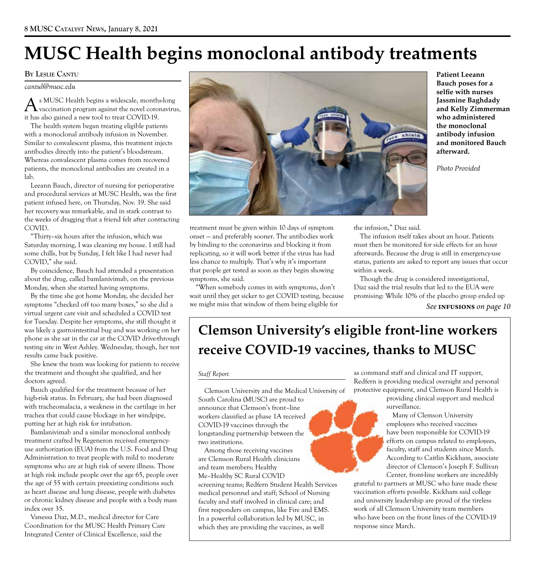# **MUSC Health begins monoclonal antibody treatments**

#### **BY LESLIE CANTU**

*cantul@musc.edu* 

s MUSC Health begins a widescale, months-long vaccination program against the novel coronavirus, it has also gained a new tool to treat COVID-19.

The health system began treating eligible patients with a monoclonal antibody infusion in November. Similar to convalescent plasma, this treatment injects antibodies directly into the patient's bloodstream. Whereas convalescent plasma comes from recovered patients, the monoclonal antibodies are created in a lab.

Leeann Bauch, director of nursing for perioperative and procedural services at MUSC Health, was the first patient infused here, on Thursday, Nov. 19. She said her recovery was remarkable, and in stark contrast to the weeks of dragging that a friend felt after contracting COVID.

"Thirty–six hours after the infusion, which was Saturday morning, I was cleaning my house. I still had some chills, but by Sunday, I felt like I had never had COVID," she said.

By coincidence, Bauch had attended a presentation about the drug, called bamlanivimab, on the previous Monday, when she started having symptoms.

By the time she got home Monday, she decided her symptoms "checked off too many boxes," so she did a virtual urgent care visit and scheduled a COVID test for Tuesday. Despite her symptoms, she still thought it was likely a gastrointestinal bug and was working on her phone as she sat in the car at the COVID drive-through testing site in West Ashley. Wednesday, though, her test results came back positive.

She knew the team was looking for patients to receive the treatment and thought she qualified, and her doctors agreed.

Bauch qualified for the treatment because of her high-risk status. In February, she had been diagnosed with tracheomalacia, a weakness in the cartilage in her trachea that could cause blockage in her windpipe, putting her at high risk for intubation.

Bamlanivimab and a similar monoclonal antibody treatment crafted by Regeneron received emergencyuse authorization (EUA) from the U.S. Food and Drug Administration to treat people with mild to moderate symptoms who are at high risk of severe illness. Those at high risk include people over the age 65, people over the age of 55 with certain preexisting conditions such as heart disease and lung disease, people with diabetes or chronic kidney disease and people with a body mass index over 35.

Vanessa Diaz, M.D., medical director for Care Coordination for the MUSC Health Primary Care Integrated Center of Clinical Excellence, said the



**Patient Leeann Bauch poses for a selfie with nurses Jassmine Baghdady and Kelly Zimmerman who administered the monoclonal antibody infusion and monitored Bauch afterward.** 

*Photo Provided* 

treatment must be given within 10 days of symptom onset — and preferably sooner. The antibodies work by binding to the coronavirus and blocking it from replicating, so it will work better if the virus has had less chance to multiply. That's why it's important that people get tested as soon as they begin showing symptoms, she said.

"When somebody comes in with symptoms, don't wait until they get sicker to get COVID testing, because we might miss that window of them being eligible for

the infusion," Diaz said.

The infusion itself takes about an hour. Patients must then be monitored for side effects for an hour afterwards. Because the drug is still in emergency-use status, patients are asked to report any issues that occur within a week.

Though the drug is considered investigational, Diaz said the trial results that led to the EUA were promising: While 10% of the placebo group ended up

*See* **infusions** *on page 10* 

# **Clemson University's eligible front-line workers receive COVID-19 vaccines, thanks to MUSC**

#### *Staff Report*

South Carolina (MUSC) are proud to providing clinical support and medical support and medical support and medical support and medical support and medical support and medical support  $\frac{1}{2}$ announce that Clemson's front-line. workers classified as phase 1A received COVID-19 vaccines through the employees who received vaccines<br>longstanding partnership between the employees who received vaccines longstanding partnership between the

Among those receiving vaccines

screening teams; Redfern Student Health Services medical personnel and staff; School of Nursing faculty and staff involved in clinical care; and first responders on campus, like Fire and EMS. In a powerful collaboration led by MUSC, in which they are providing the vaccines, as well

as command staff and clinical and IT support, Redfern is providing medical oversight and personal Clemson University and the Medical University of protective equipment, and Clemson Rural Health is

Many of Clemson University two institutions.<br>Among those receiving vaccines are Clemson Rural Health clinicians According to Caitlin Kickham, associate and team members; Healthy director of Clemson's Joseph F. Sullivan Me–Healthy SC Rural COVID Center, front-line workers are incredibly

grateful to partners at MUSC who have made these vaccination efforts possible. Kickham said college and university leadership are proud of the tireless work of all Clemson University team members who have been on the front lines of the COVID-19 response since March.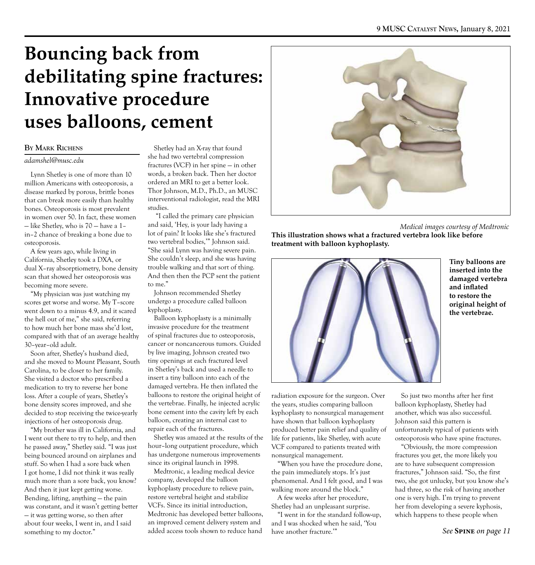# **Bouncing back from debilitating spine fractures: Innovative procedure uses balloons, cement**

#### **BY MARK RICHENS**

#### *adamshel@musc.edu*

Lynn Shetley is one of more than 10 million Americans with osteoporosis, a disease marked by porous, brittle bones that can break more easily than healthy bones. Osteoporosis is most prevalent in women over 50. In fact, these women — like Shetley, who is 70 — have a 1– in–2 chance of breaking a bone due to osteoporosis.

A few years ago, while living in California, Shetley took a DXA, or dual X–ray absorptiometry, bone density scan that showed her osteoporosis was becoming more severe.

"My physician was just watching my scores get worse and worse. My T–score went down to a minus 4.9, and it scared the hell out of me," she said, referring to how much her bone mass she'd lost, compared with that of an average healthy 30–year–old adult.

Soon after, Shetley's husband died, and she moved to Mount Pleasant, South Carolina, to be closer to her family. She visited a doctor who prescribed a medication to try to reverse her bone loss. After a couple of years, Shetley's bone density scores improved, and she decided to stop receiving the twice-yearly injections of her osteoporosis drug.

"My brother was ill in California, and I went out there to try to help, and then he passed away," Shetley said. "I was just being bounced around on airplanes and stuff. So when I had a sore back when I got home, I did not think it was really much more than a sore back, you know? And then it just kept getting worse. Bending, lifting, anything — the pain was constant, and it wasn't getting better — it was getting worse, so then after about four weeks, I went in, and I said something to my doctor."

Shetley had an X-ray that found she had two vertebral compression fractures (VCF) in her spine — in other words, a broken back. Then her doctor ordered an MRI to get a better look. Thor Johnson, M.D., Ph.D., an MUSC interventional radiologist, read the MRI studies.

 "I called the primary care physician and said, 'Hey, is your lady having a lot of pain? It looks like she's fractured two vertebral bodies,'" Johnson said. "She said Lynn was having severe pain. She couldn't sleep, and she was having trouble walking and that sort of thing. And then then the PCP sent the patient to me."

Johnson recommended Shetley undergo a procedure called balloon kyphoplasty.

Balloon kyphoplasty is a minimally invasive procedure for the treatment of spinal fractures due to osteoporosis, cancer or noncancerous tumors. Guided by live imaging, Johnson created two tiny openings at each fractured level in Shetley's back and used a needle to insert a tiny balloon into each of the damaged vertebra. He then inflated the balloons to restore the original height of the vertebrae. Finally, he injected acrylic bone cement into the cavity left by each balloon, creating an internal cast to repair each of the fractures.

Shetley was amazed at the results of the hour–long outpatient procedure, which has undergone numerous improvements since its original launch in 1998.

Medtronic, a leading medical device company, developed the balloon kyphoplasty procedure to relieve pain, restore vertebral height and stabilize VCFs. Since its initial introduction, Medtronic has developed better balloons, an improved cement delivery system and added access tools shown to reduce hand



 *Medical images courtesy of Medtronic*

**This illustration shows what a fractured vertebra look like before treatment with balloon kyphoplasty.** 



**Tiny balloons are inserted into the damaged vertebra and inflated to restore the original height of the vertebrae.** 

radiation exposure for the surgeon. Over the years, studies comparing balloon kyphoplasty to nonsurgical management have shown that balloon kyphoplasty produced better pain relief and quality of life for patients, like Shetley, with acute VCF compared to patients treated with nonsurgical management.

"When you have the procedure done, the pain immediately stops. It's just phenomenal. And I felt good, and I was walking more around the block."

A few weeks after her procedure, Shetley had an unpleasant surprise.

"I went in for the standard follow-up, and I was shocked when he said, 'You have another fracture.'"

So just two months after her first balloon kyphoplasty, Shetley had another, which was also successful. Johnson said this pattern is unfortunately typical of patients with osteoporosis who have spine fractures.

"Obviously, the more compression fractures you get, the more likely you are to have subsequent compression fractures," Johnson said. "So, the first two, she got unlucky, but you know she's had three, so the risk of having another one is very high. I'm trying to prevent her from developing a severe kyphosis, which happens to these people when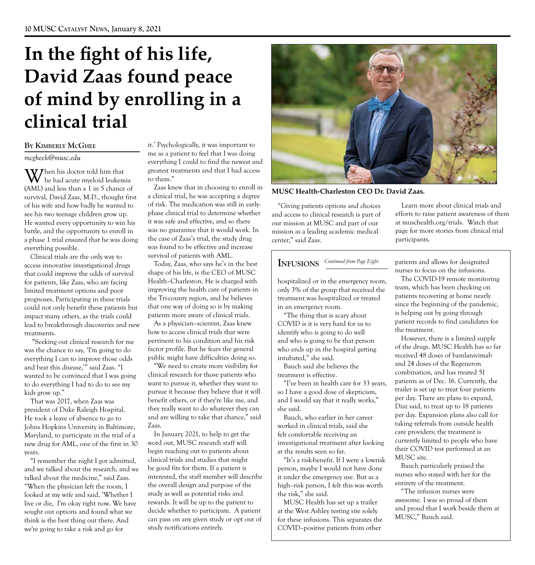# **In the fight of his life, David Zaas found peace of mind by enrolling in a clinical trial**

#### **BY KIMBERLY MCGHEE**

#### *mcgheek@musc.edu*

everything possible.  $\mathbf{W}$  hen his doctor told him that he had acute myeloid leukemia (AML) and less than a 1 in 5 chance of survival, David Zaas, M.D., thought first of his wife and how badly he wanted to see his two teenage children grow up. He wanted every opportunity to win his battle, and the opportunity to enroll in a phase 1 trial ensured that he was doing

Clinical trials are the only way to access innovative investigational drugs that could improve the odds of survival for patients, like Zaas, who are facing limited treatment options and poor prognoses. Participating in these trials could not only benefit these patients but impact many others, as the trials could lead to breakthrough discoveries and new treatments.

 "Seeking out clinical research for me was the chance to say, 'I'm going to do everything I can to improve those odds and beat this disease,'" said Zaas. "I wanted to be convinced that I was going to do everything I had to do to see my kids grow up."

That was 2017, when Zaas was president of Duke Raleigh Hospital. He took a leave of absence to go to Johns Hopkins University in Baltimore, Maryland, to participate in the trial of a new drug for AML, one of the first in 30 years.

"I remember the night I got admitted, and we talked about the research, and we talked about the medicine," said Zaas. "When the physician left the room, I looked at my wife and said, 'Whether I live or die, I'm okay right now. We have sought out options and found what we think is the best thing out there. And we're going to take a risk and go for

it.' Psychologically, it was important to me as a patient to feel that I was doing everything I could to find the newest and greatest treatments and that I had access to them."

Zaas knew that in choosing to enroll in a clinical trial, he was accepting a degree of risk. The medication was still in earlyphase clinical trial to determine whether it was safe and effective, and so there was no guarantee that it would work. In the case of Zaas's trial, the study drug was found to be effective and increase survival of patients with AML.

Today, Zaas, who says he's in the best shape of his life, is the CEO of MUSC Health–Charleston. He is charged with improving the health care of patients in the Tri-county region, and he believes that one way of doing so is by making patients more aware of clinical trials.

As a physician–scientist, Zaas knew how to access clinical trials that were pertinent to his condition and his risk factor profile. But he fears the general public might have difficulties doing so.

"We need to create more visibility for clinical research for those patients who want to pursue it, whether they want to pursue it because they believe that it will benefit others, or if they're like me, and they really want to do whatever they can and are willing to take that chance," said Zaas.

In January 2021, to help to get the word out, MUSC research staff will begin reaching out to patients about clinical trials and studies that might be good fits for them. If a patient is interested, the staff member will describe the overall design and purpose of the study as well as potential risks and rewards. It will be up to the patient to decide whether to participate. A patient can pass on any given study or opt out of study notifications entirely.



**MUSC Health-Charleston CEO Dr. David Zaas.** 

our mission at MUSC and part of our at muschealth.org/trials. Watch that mission as a leading academic medical page for more stories from clinical trial mission as a leading academic medical center," said Zaas. participants.

"It's a risk-benefit. If I were a lowrisk MUSC site.<br>
rson, maybe I would not have done Bauch particularly praised the person, maybe I would not have done<br>it under the emergency use. But as a<br>high-risk person, I felt this was worth the entirety of the treatment.<br>the risk," she said. "The infusion nurses were

and proud that I work at the West Ashley testing site solely and proud that I work for these infusions. This separates the MUSC," Bauch said. COVID–positive patients from other

"Giving patients options and choices Learn more about clinical trials and and access to clinical research is part of efforts to raise patient awareness of them

**INFUSIONS** *Continued from Page Eight* patients and allows for designated nurses to focus on the infusions.

hospitalized or in the emergency room, The COVID-19 remote monitoring<br>only 3% of the group that received the tream, which has been checking on<br>treatment was hospitalized or treated patients recovering at home nearly<br>in an COVID is it is very hard for us to patient records to find candidates for the treatment.

identify who is going to do well<br>and who is going to be that person<br>who ends up in the hospital getting<br>intubated," she said.<br>Bauch said she believes the<br>and 24 doses of the Regeneron treatment is effective.<br>
"I've been in bealth care for 33 years patients as of Dec. 16. Currently, the "I've been in health care for 33 years, patients as of Dec. 16. Currently, the so I have a good dose of skepticism, trailer is set up to treat four patients and I would say that it really works," per day. There are plans t Bauch, who earlier in her career per day. Expansion plans also call for<br>worked in clinical trials, said she<br>felt comfortable receiving an care providers; the treatment is<br>investigational treatment after looking currently l

the risk," she said. The infusion nurses were<br>MUSC Health has set up a trailer awesome. I was so proud of them<br>and proud that I work beside them at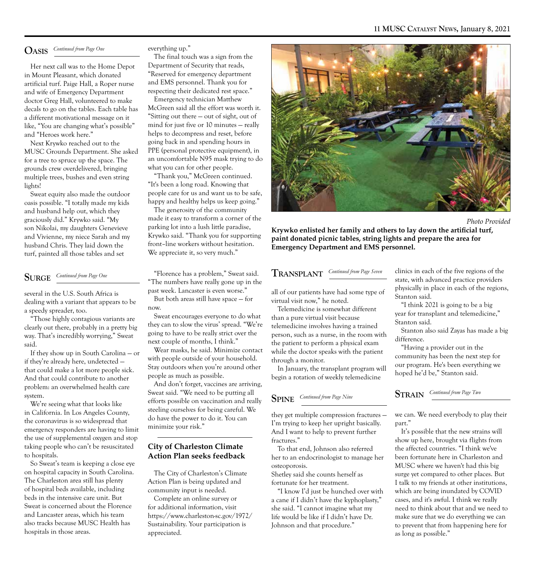### $O$ ASIS Continued from Page One

Her next call was to the Home Depot in Mount Pleasant, which donated artificial turf. Paige Hall, a Roper nurse and wife of Emergency Department doctor Greg Hall, volunteered to make decals to go on the tables. Each table has a different motivational message on it like, "You are changing what's possible" and "Heroes work here."

Next Krywko reached out to the MUSC Grounds Department. She asked for a tree to spruce up the space. The grounds crew overdelivered, bringing multiple trees, bushes and even string lights!

Sweat equity also made the outdoor oasis possible. "I totally made my kids and husband help out, which they graciously did." Krywko said. "My son Nikolai, my daughters Genevieve and Vivienne, my niece Sarah and my husband Chris. They laid down the turf, painted all those tables and set

### $\textbf{SURGE} \quad \frac{\textit{Continued from Page One}}{\textit{triangle from Page One}}$

several in the U.S. South Africa is dealing with a variant that appears to be a speedy spreader, too.

"Those highly contagious variants are clearly out there, probably in a pretty big way. That's incredibly worrying," Sweat said.

If they show up in South Carolina — or if they're already here, undetected that could make a lot more people sick. And that could contribute to another problem: an overwhelmed health care system.

We're seeing what that looks like in California. In Los Angeles County, the coronavirus is so widespread that emergency responders are having to limit the use of supplemental oxygen and stop taking people who can't be resuscitated to hospitals.

So Sweat's team is keeping a close eye on hospital capacity in South Carolina. The Charleston area still has plenty of hospital beds available, including beds in the intensive care unit. But Sweat is concerned about the Florence and Lancaster areas, which his team also tracks because MUSC Health has hospitals in those areas.

#### everything up."

The final touch was a sign from the Department of Security that reads, "Reserved for emergency department and EMS personnel. Thank you for respecting their dedicated rest space."

Emergency technician Matthew McGreen said all the effort was worth it. "Sitting out there — out of sight, out of mind for just five or 10 minutes — really helps to decompress and reset, before going back in and spending hours in PPE (personal protective equipment), in an uncomfortable N95 mask trying to do what you can for other people.

"Thank you," McGreen continued. "It's been a long road. Knowing that people care for us and want us to be safe, happy and healthy helps us keep going."

The generosity of the community made it easy to transform a corner of the parking lot into a lush little paradise, Krywko said. "Thank you for supporting front–line workers without hesitation. We appreciate it, so very much."

"Florence has a problem," Sweat said. "The numbers have really gone up in the past week. Lancaster is even worse."

But both areas still have space — for now.

Sweat encourages everyone to do what they can to slow the virus' spread. "We're going to have to be really strict over the next couple of months, I think."

Wear masks, he said. Minimize contact with people outside of your household. Stay outdoors when you're around other people as much as possible.

And don't forget, vaccines are arriving, Sweat said. "We need to be putting all efforts possible on vaccination and really steeling ourselves for being careful. We do have the power to do it. You can minimize your risk."

#### **City of Charleston Climate Action Plan seeks feedback**

The City of Charleston's Climate Action Plan is being updated and community input is needed.

Complete an online survey or for additional information, visit https://www.charleston-sc.gov/1972/ Sustainability. Your participation is appreciated.



*Photo Provided* 

**Krywko enlisted her family and others to lay down the artificial turf, paint donated picnic tables, string lights and prepare the area for Emergency Department and EMS personnel.** 

 $\frac{1}{\sqrt{2\pi}} \sum_{n=1}^{\infty}$  *Continued from Page Seven* 

all of our patients have had some type of virtual visit now," he noted.

Telemedicine is somewhat different than a pure virtual visit because telemedicine involves having a trained person, such as a nurse, in the room with the patient to perform a physical exam while the doctor speaks with the patient through a monitor.

In January, the transplant program will begin a rotation of weekly telemedicine

### *Continued from Page Nine* **SPINE**

they get multiple compression fractures — I'm trying to keep her upright basically. And I want to help to prevent further fractures."

To that end, Johnson also referred her to an endocrinologist to manage her osteoporosis.

Shetley said she counts herself as fortunate for her treatment.

"I know I'd just be hunched over with a cane if I didn't have the kyphoplasty," she said. "I cannot imagine what my life would be like if I didn't have Dr. Johnson and that procedure."

clinics in each of the five regions of the state, with advanced practice providers physically in place in each of the regions, Stanton said.

"I think 2021 is going to be a big year for transplant and telemedicine," Stanton said.

Stanton also said Zayas has made a big difference.

"Having a provider out in the community has been the next step for our program. He's been everything we hoped he'd be," Stanton said.

 *Continued from Page Two* **STRAIN** 

we can. We need everybody to play their part."

It's possible that the new strains will show up here, brought via flights from the affected countries. "I think we've been fortunate here in Charleston and MUSC where we haven't had this big surge yet compared to other places. But I talk to my friends at other institutions, which are being inundated by COVID cases, and it's awful. I think we really need to think about that and we need to make sure that we do everything we can to prevent that from happening here for as long as possible."